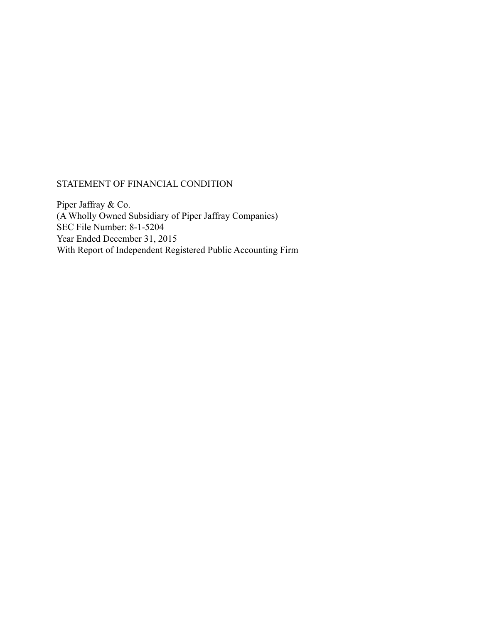# STATEMENT OF FINANCIAL CONDITION

Piper Jaffray & Co. (A Wholly Owned Subsidiary of Piper Jaffray Companies) SEC File Number: 8-1-5204 Year Ended December 31, 2015 With Report of Independent Registered Public Accounting Firm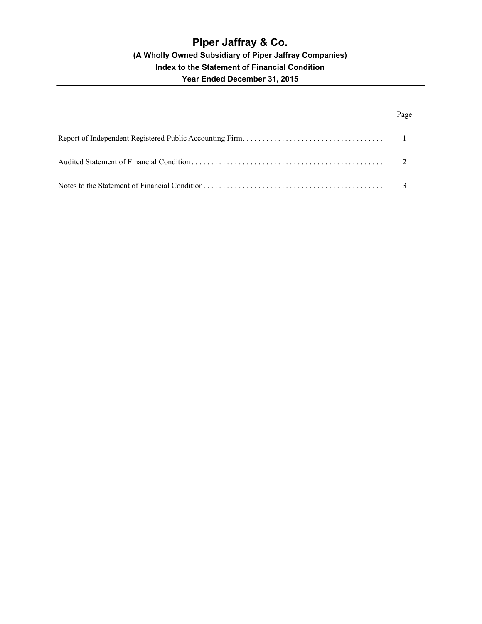# Page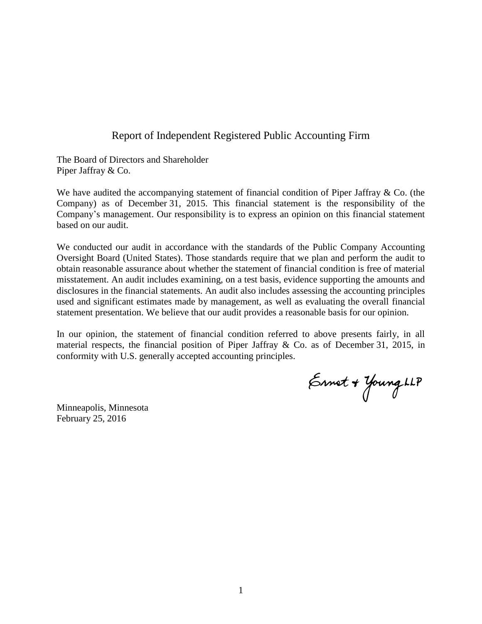# Report of Independent Registered Public Accounting Firm

The Board of Directors and Shareholder Piper Jaffray & Co.

We have audited the accompanying statement of financial condition of Piper Jaffray & Co. (the Company) as of December 31, 2015. This financial statement is the responsibility of the Company's management. Our responsibility is to express an opinion on this financial statement based on our audit.

We conducted our audit in accordance with the standards of the Public Company Accounting Oversight Board (United States). Those standards require that we plan and perform the audit to obtain reasonable assurance about whether the statement of financial condition is free of material misstatement. An audit includes examining, on a test basis, evidence supporting the amounts and disclosures in the financial statements. An audit also includes assessing the accounting principles used and significant estimates made by management, as well as evaluating the overall financial statement presentation. We believe that our audit provides a reasonable basis for our opinion.

In our opinion, the statement of financial condition referred to above presents fairly, in all material respects, the financial position of Piper Jaffray & Co. as of December 31, 2015, in conformity with U.S. generally accepted accounting principles.

Ernet + Young LLP

Minneapolis, Minnesota February 25, 2016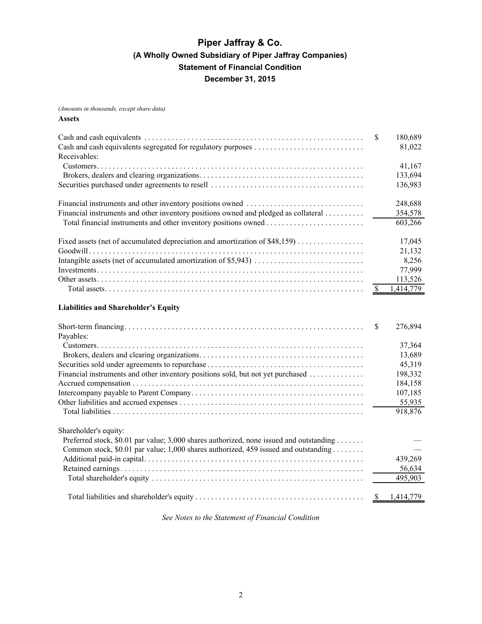*(Amounts in thousands, except share data)* **Assets**

| Receivables:                                                                        | -S | 180,689<br>81,022 |
|-------------------------------------------------------------------------------------|----|-------------------|
|                                                                                     |    | 41,167            |
|                                                                                     |    | 133,694           |
|                                                                                     |    | 136,983           |
|                                                                                     |    | 248,688           |
| Financial instruments and other inventory positions owned and pledged as collateral |    | 354,578           |
|                                                                                     |    | 603,266           |
| Fixed assets (net of accumulated depreciation and amortization of \$48,159)         |    | 17,045            |
|                                                                                     |    | 21,132            |
|                                                                                     |    | 8,256             |
|                                                                                     |    | 77,999            |
|                                                                                     |    | 113,526           |
|                                                                                     |    | 1,414,779         |

### **Liabilities and Shareholder's Equity**

|                                                                                         | <sup>\$</sup> | 276,894 |
|-----------------------------------------------------------------------------------------|---------------|---------|
| Payables:                                                                               |               |         |
|                                                                                         |               | 37,364  |
|                                                                                         |               | 13,689  |
|                                                                                         |               | 45,319  |
| Financial instruments and other inventory positions sold, but not yet purchased         |               | 198,332 |
|                                                                                         |               | 184,158 |
|                                                                                         |               | 107,185 |
|                                                                                         |               | 55,935  |
|                                                                                         |               | 918,876 |
| Shareholder's equity:                                                                   |               |         |
| Preferred stock, \$0.01 par value; 3,000 shares authorized, none issued and outstanding |               |         |
| Common stock, \$0.01 par value; 1,000 shares authorized, 459 issued and outstanding     |               |         |
|                                                                                         |               | 439,269 |
|                                                                                         |               | 56,634  |
|                                                                                         |               | 495,903 |
|                                                                                         |               |         |

*See Notes to the Statement of Financial Condition*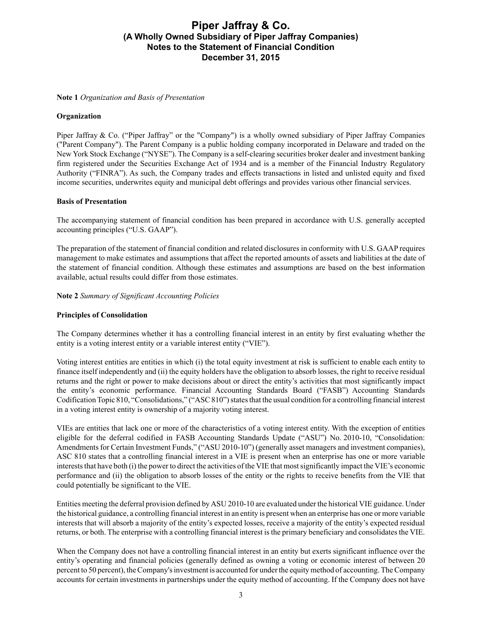#### **Note 1** *Organization and Basis of Presentation*

### **Organization**

Piper Jaffray & Co. ("Piper Jaffray" or the "Company") is a wholly owned subsidiary of Piper Jaffray Companies ("Parent Company"). The Parent Company is a public holding company incorporated in Delaware and traded on the New York Stock Exchange ("NYSE"). The Company is a self-clearing securities broker dealer and investment banking firm registered under the Securities Exchange Act of 1934 and is a member of the Financial Industry Regulatory Authority ("FINRA"). As such, the Company trades and effects transactions in listed and unlisted equity and fixed income securities, underwrites equity and municipal debt offerings and provides various other financial services.

### **Basis of Presentation**

The accompanying statement of financial condition has been prepared in accordance with U.S. generally accepted accounting principles ("U.S. GAAP").

The preparation of the statement of financial condition and related disclosures in conformity with U.S. GAAPrequires management to make estimates and assumptions that affect the reported amounts of assets and liabilities at the date of the statement of financial condition. Although these estimates and assumptions are based on the best information available, actual results could differ from those estimates.

**Note 2** *Summary of Significant Accounting Policies*

#### **Principles of Consolidation**

The Company determines whether it has a controlling financial interest in an entity by first evaluating whether the entity is a voting interest entity or a variable interest entity ("VIE").

Voting interest entities are entities in which (i) the total equity investment at risk is sufficient to enable each entity to finance itself independently and (ii) the equity holders have the obligation to absorb losses, the right to receive residual returns and the right or power to make decisions about or direct the entity's activities that most significantly impact the entity's economic performance. Financial Accounting Standards Board ("FASB") Accounting Standards Codification Topic 810, "Consolidations," ("ASC 810") states that the usual condition for a controlling financial interest in a voting interest entity is ownership of a majority voting interest.

VIEs are entities that lack one or more of the characteristics of a voting interest entity. With the exception of entities eligible for the deferral codified in FASB Accounting Standards Update ("ASU") No. 2010-10, "Consolidation: Amendments for Certain Investment Funds," ("ASU 2010-10") (generally asset managers and investment companies), ASC 810 states that a controlling financial interest in a VIE is present when an enterprise has one or more variable interests that have both (i) the power to direct the activities of the VIE that most significantly impact the VIE's economic performance and (ii) the obligation to absorb losses of the entity or the rights to receive benefits from the VIE that could potentially be significant to the VIE.

Entities meeting the deferral provision defined by ASU 2010-10 are evaluated under the historical VIE guidance. Under the historical guidance, a controlling financial interest in an entity is present when an enterprise has one or more variable interests that will absorb a majority of the entity's expected losses, receive a majority of the entity's expected residual returns, or both. The enterprise with a controlling financial interest is the primary beneficiary and consolidates the VIE.

When the Company does not have a controlling financial interest in an entity but exerts significant influence over the entity's operating and financial policies (generally defined as owning a voting or economic interest of between 20 percent to 50 percent), the Company's investment is accounted for under the equity method of accounting. The Company accounts for certain investments in partnerships under the equity method of accounting. If the Company does not have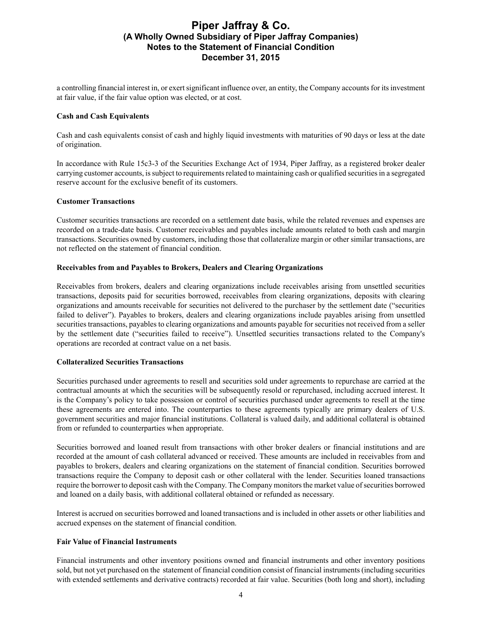a controlling financial interest in, or exert significant influence over, an entity, the Company accounts for its investment at fair value, if the fair value option was elected, or at cost.

### **Cash and Cash Equivalents**

Cash and cash equivalents consist of cash and highly liquid investments with maturities of 90 days or less at the date of origination.

In accordance with Rule 15c3-3 of the Securities Exchange Act of 1934, Piper Jaffray, as a registered broker dealer carrying customer accounts, is subject to requirements related to maintaining cash or qualified securities in a segregated reserve account for the exclusive benefit of its customers.

### **Customer Transactions**

Customer securities transactions are recorded on a settlement date basis, while the related revenues and expenses are recorded on a trade-date basis. Customer receivables and payables include amounts related to both cash and margin transactions. Securities owned by customers, including those that collateralize margin or other similar transactions, are not reflected on the statement of financial condition.

### **Receivables from and Payables to Brokers, Dealers and Clearing Organizations**

Receivables from brokers, dealers and clearing organizations include receivables arising from unsettled securities transactions, deposits paid for securities borrowed, receivables from clearing organizations, deposits with clearing organizations and amounts receivable for securities not delivered to the purchaser by the settlement date ("securities failed to deliver"). Payables to brokers, dealers and clearing organizations include payables arising from unsettled securities transactions, payables to clearing organizations and amounts payable for securities not received from a seller by the settlement date ("securities failed to receive"). Unsettled securities transactions related to the Company's operations are recorded at contract value on a net basis.

### **Collateralized Securities Transactions**

Securities purchased under agreements to resell and securities sold under agreements to repurchase are carried at the contractual amounts at which the securities will be subsequently resold or repurchased, including accrued interest. It is the Company's policy to take possession or control of securities purchased under agreements to resell at the time these agreements are entered into. The counterparties to these agreements typically are primary dealers of U.S. government securities and major financial institutions. Collateral is valued daily, and additional collateral is obtained from or refunded to counterparties when appropriate.

Securities borrowed and loaned result from transactions with other broker dealers or financial institutions and are recorded at the amount of cash collateral advanced or received. These amounts are included in receivables from and payables to brokers, dealers and clearing organizations on the statement of financial condition. Securities borrowed transactions require the Company to deposit cash or other collateral with the lender. Securities loaned transactions require the borrower to deposit cash with the Company. The Company monitors the market value of securities borrowed and loaned on a daily basis, with additional collateral obtained or refunded as necessary.

Interest is accrued on securities borrowed and loaned transactions and is included in other assets or other liabilities and accrued expenses on the statement of financial condition.

### **Fair Value of Financial Instruments**

Financial instruments and other inventory positions owned and financial instruments and other inventory positions sold, but not yet purchased on the statement of financial condition consist of financial instruments (including securities with extended settlements and derivative contracts) recorded at fair value. Securities (both long and short), including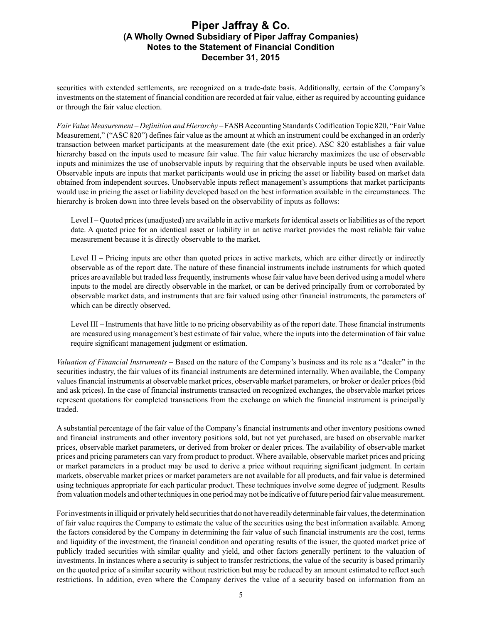securities with extended settlements, are recognized on a trade-date basis. Additionally, certain of the Company's investments on the statement of financial condition are recorded at fair value, either as required by accounting guidance or through the fair value election.

*Fair Value Measurement* – *Definition and Hierarchy* – FASB Accounting Standards Codification Topic 820, "Fair Value Measurement," ("ASC 820") defines fair value as the amount at which an instrument could be exchanged in an orderly transaction between market participants at the measurement date (the exit price). ASC 820 establishes a fair value hierarchy based on the inputs used to measure fair value. The fair value hierarchy maximizes the use of observable inputs and minimizes the use of unobservable inputs by requiring that the observable inputs be used when available. Observable inputs are inputs that market participants would use in pricing the asset or liability based on market data obtained from independent sources. Unobservable inputs reflect management's assumptions that market participants would use in pricing the asset or liability developed based on the best information available in the circumstances. The hierarchy is broken down into three levels based on the observability of inputs as follows:

Level I – Quoted prices (unadjusted) are available in active markets for identical assets or liabilities as of the report date. A quoted price for an identical asset or liability in an active market provides the most reliable fair value measurement because it is directly observable to the market.

Level II – Pricing inputs are other than quoted prices in active markets, which are either directly or indirectly observable as of the report date. The nature of these financial instruments include instruments for which quoted prices are available but traded less frequently, instruments whose fair value have been derived using a model where inputs to the model are directly observable in the market, or can be derived principally from or corroborated by observable market data, and instruments that are fair valued using other financial instruments, the parameters of which can be directly observed.

Level III – Instruments that have little to no pricing observability as of the report date. These financial instruments are measured using management's best estimate of fair value, where the inputs into the determination of fair value require significant management judgment or estimation.

*Valuation of Financial Instruments* – Based on the nature of the Company's business and its role as a "dealer" in the securities industry, the fair values of its financial instruments are determined internally. When available, the Company values financial instruments at observable market prices, observable market parameters, or broker or dealer prices (bid and ask prices). In the case of financial instruments transacted on recognized exchanges, the observable market prices represent quotations for completed transactions from the exchange on which the financial instrument is principally traded.

A substantial percentage of the fair value of the Company's financial instruments and other inventory positions owned and financial instruments and other inventory positions sold, but not yet purchased, are based on observable market prices, observable market parameters, or derived from broker or dealer prices. The availability of observable market prices and pricing parameters can vary from product to product. Where available, observable market prices and pricing or market parameters in a product may be used to derive a price without requiring significant judgment. In certain markets, observable market prices or market parameters are not available for all products, and fair value is determined using techniques appropriate for each particular product. These techniques involve some degree of judgment. Results from valuation models and other techniques in one period may not be indicative of future period fair value measurement.

For investments in illiquid or privately held securities that do not have readily determinable fair values, the determination of fair value requires the Company to estimate the value of the securities using the best information available. Among the factors considered by the Company in determining the fair value of such financial instruments are the cost, terms and liquidity of the investment, the financial condition and operating results of the issuer, the quoted market price of publicly traded securities with similar quality and yield, and other factors generally pertinent to the valuation of investments. In instances where a security is subject to transfer restrictions, the value of the security is based primarily on the quoted price of a similar security without restriction but may be reduced by an amount estimated to reflect such restrictions. In addition, even where the Company derives the value of a security based on information from an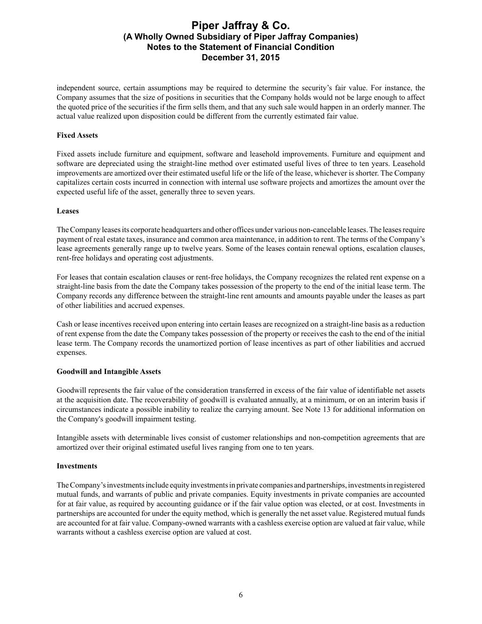independent source, certain assumptions may be required to determine the security's fair value. For instance, the Company assumes that the size of positions in securities that the Company holds would not be large enough to affect the quoted price of the securities if the firm sells them, and that any such sale would happen in an orderly manner. The actual value realized upon disposition could be different from the currently estimated fair value.

### **Fixed Assets**

Fixed assets include furniture and equipment, software and leasehold improvements. Furniture and equipment and software are depreciated using the straight-line method over estimated useful lives of three to ten years. Leasehold improvements are amortized over their estimated useful life or the life of the lease, whichever is shorter. The Company capitalizes certain costs incurred in connection with internal use software projects and amortizes the amount over the expected useful life of the asset, generally three to seven years.

### **Leases**

The Company leases its corporate headquarters and other offices under various non-cancelable leases. The leases require payment of real estate taxes, insurance and common area maintenance, in addition to rent. The terms of the Company's lease agreements generally range up to twelve years. Some of the leases contain renewal options, escalation clauses, rent-free holidays and operating cost adjustments.

For leases that contain escalation clauses or rent-free holidays, the Company recognizes the related rent expense on a straight-line basis from the date the Company takes possession of the property to the end of the initial lease term. The Company records any difference between the straight-line rent amounts and amounts payable under the leases as part of other liabilities and accrued expenses.

Cash or lease incentives received upon entering into certain leases are recognized on a straight-line basis as a reduction of rent expense from the date the Company takes possession of the property or receives the cash to the end of the initial lease term. The Company records the unamortized portion of lease incentives as part of other liabilities and accrued expenses.

### **Goodwill and Intangible Assets**

Goodwill represents the fair value of the consideration transferred in excess of the fair value of identifiable net assets at the acquisition date. The recoverability of goodwill is evaluated annually, at a minimum, or on an interim basis if circumstances indicate a possible inability to realize the carrying amount. See Note 13 for additional information on the Company's goodwill impairment testing.

Intangible assets with determinable lives consist of customer relationships and non-competition agreements that are amortized over their original estimated useful lives ranging from one to ten years.

### **Investments**

The Company's investments include equity investments in private companies and partnerships, investments in registered mutual funds, and warrants of public and private companies. Equity investments in private companies are accounted for at fair value, as required by accounting guidance or if the fair value option was elected, or at cost. Investments in partnerships are accounted for under the equity method, which is generally the net asset value. Registered mutual funds are accounted for at fair value. Company-owned warrants with a cashless exercise option are valued at fair value, while warrants without a cashless exercise option are valued at cost.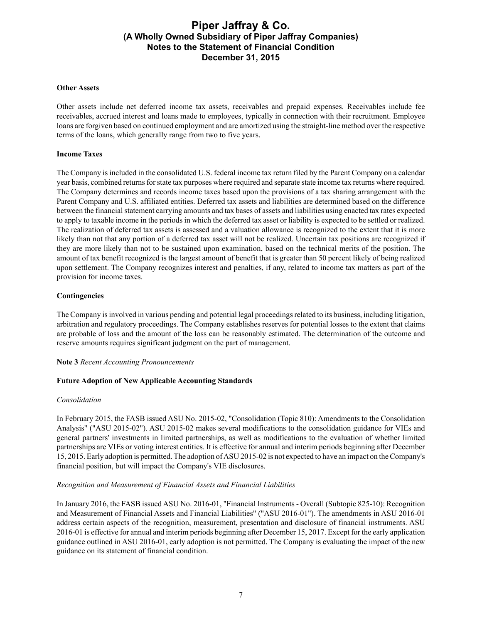### **Other Assets**

Other assets include net deferred income tax assets, receivables and prepaid expenses. Receivables include fee receivables, accrued interest and loans made to employees, typically in connection with their recruitment. Employee loans are forgiven based on continued employment and are amortized using the straight-line method over the respective terms of the loans, which generally range from two to five years.

#### **Income Taxes**

The Company is included in the consolidated U.S. federal income tax return filed by the Parent Company on a calendar year basis, combined returns for state tax purposes where required and separate state income tax returns where required. The Company determines and records income taxes based upon the provisions of a tax sharing arrangement with the Parent Company and U.S. affiliated entities. Deferred tax assets and liabilities are determined based on the difference between the financial statement carrying amounts and tax bases of assets and liabilities using enacted tax rates expected to apply to taxable income in the periods in which the deferred tax asset or liability is expected to be settled or realized. The realization of deferred tax assets is assessed and a valuation allowance is recognized to the extent that it is more likely than not that any portion of a deferred tax asset will not be realized. Uncertain tax positions are recognized if they are more likely than not to be sustained upon examination, based on the technical merits of the position. The amount of tax benefit recognized is the largest amount of benefit that is greater than 50 percent likely of being realized upon settlement. The Company recognizes interest and penalties, if any, related to income tax matters as part of the provision for income taxes.

#### **Contingencies**

The Company is involved in various pending and potential legal proceedings related to its business, including litigation, arbitration and regulatory proceedings. The Company establishes reserves for potential losses to the extent that claims are probable of loss and the amount of the loss can be reasonably estimated. The determination of the outcome and reserve amounts requires significant judgment on the part of management.

#### **Note 3** *Recent Accounting Pronouncements*

#### **Future Adoption of New Applicable Accounting Standards**

#### *Consolidation*

In February 2015, the FASB issued ASU No. 2015-02, "Consolidation (Topic 810): Amendments to the Consolidation Analysis" ("ASU 2015-02"). ASU 2015-02 makes several modifications to the consolidation guidance for VIEs and general partners' investments in limited partnerships, as well as modifications to the evaluation of whether limited partnerships are VIEs or voting interest entities. It is effective for annual and interim periods beginning after December 15, 2015. Early adoption is permitted. The adoption of ASU 2015-02 is not expected to have an impact on the Company's financial position, but will impact the Company's VIE disclosures.

#### *Recognition and Measurement of Financial Assets and Financial Liabilities*

In January 2016, the FASB issued ASU No. 2016-01, "Financial Instruments - Overall (Subtopic 825-10): Recognition and Measurement of Financial Assets and Financial Liabilities" ("ASU 2016-01"). The amendments in ASU 2016-01 address certain aspects of the recognition, measurement, presentation and disclosure of financial instruments. ASU 2016-01 is effective for annual and interim periods beginning after December 15, 2017. Except for the early application guidance outlined in ASU 2016-01, early adoption is not permitted. The Company is evaluating the impact of the new guidance on its statement of financial condition.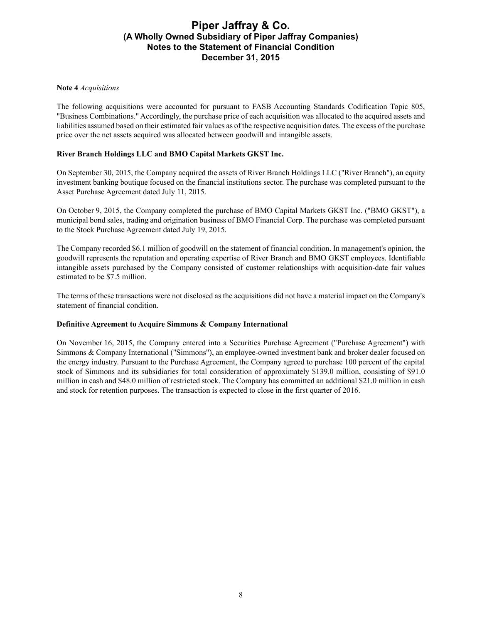### **Note 4** *Acquisitions*

The following acquisitions were accounted for pursuant to FASB Accounting Standards Codification Topic 805, "Business Combinations." Accordingly, the purchase price of each acquisition was allocated to the acquired assets and liabilities assumed based on their estimated fair values as of the respective acquisition dates. The excess of the purchase price over the net assets acquired was allocated between goodwill and intangible assets.

### **River Branch Holdings LLC and BMO Capital Markets GKST Inc.**

On September 30, 2015, the Company acquired the assets of River Branch Holdings LLC ("River Branch"), an equity investment banking boutique focused on the financial institutions sector. The purchase was completed pursuant to the Asset Purchase Agreement dated July 11, 2015.

On October 9, 2015, the Company completed the purchase of BMO Capital Markets GKST Inc. ("BMO GKST"), a municipal bond sales, trading and origination business of BMO Financial Corp. The purchase was completed pursuant to the Stock Purchase Agreement dated July 19, 2015.

The Company recorded \$6.1 million of goodwill on the statement of financial condition. In management's opinion, the goodwill represents the reputation and operating expertise of River Branch and BMO GKST employees. Identifiable intangible assets purchased by the Company consisted of customer relationships with acquisition-date fair values estimated to be \$7.5 million.

The terms of these transactions were not disclosed as the acquisitions did not have a material impact on the Company's statement of financial condition.

#### **Definitive Agreement to Acquire Simmons & Company International**

On November 16, 2015, the Company entered into a Securities Purchase Agreement ("Purchase Agreement") with Simmons & Company International ("Simmons"), an employee-owned investment bank and broker dealer focused on the energy industry. Pursuant to the Purchase Agreement, the Company agreed to purchase 100 percent of the capital stock of Simmons and its subsidiaries for total consideration of approximately \$139.0 million, consisting of \$91.0 million in cash and \$48.0 million of restricted stock. The Company has committed an additional \$21.0 million in cash and stock for retention purposes. The transaction is expected to close in the first quarter of 2016.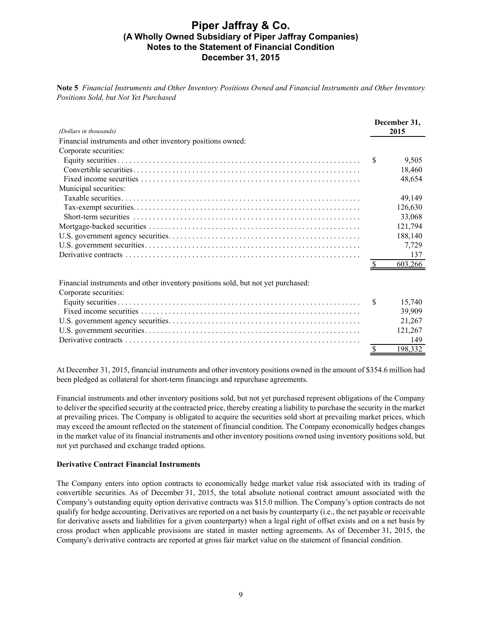**Note 5** *Financial Instruments and Other Inventory Positions Owned and Financial Instruments and Other Inventory Positions Sold, but Not Yet Purchased*

| (Dollars in thousands)                                                          |   | December 31,<br>2015 |
|---------------------------------------------------------------------------------|---|----------------------|
| Financial instruments and other inventory positions owned:                      |   |                      |
| Corporate securities:                                                           |   |                      |
|                                                                                 | S | 9,505                |
|                                                                                 |   | 18,460               |
|                                                                                 |   | 48,654               |
| Municipal securities:                                                           |   |                      |
|                                                                                 |   | 49,149               |
|                                                                                 |   | 126,630              |
|                                                                                 |   | 33,068               |
|                                                                                 |   | 121,794              |
|                                                                                 |   | 188,140              |
|                                                                                 |   | 7,729                |
|                                                                                 |   | 137                  |
|                                                                                 |   | 603,266              |
| Einengial instruments and other inventory positions sold but not yet purchased: |   |                      |

Financial instruments and other inventory positions sold, but not yet purchased:

| Corporate securities: |         |
|-----------------------|---------|
|                       | 15.740  |
|                       | 39.909  |
|                       | 21.267  |
|                       | 121.267 |
|                       | 149     |
|                       | 198.332 |

At December 31, 2015, financial instruments and other inventory positions owned in the amount of \$354.6 million had been pledged as collateral for short-term financings and repurchase agreements.

Financial instruments and other inventory positions sold, but not yet purchased represent obligations of the Company to deliver the specified security at the contracted price, thereby creating a liability to purchase the security in the market at prevailing prices. The Company is obligated to acquire the securities sold short at prevailing market prices, which may exceed the amount reflected on the statement of financial condition. The Company economically hedges changes in the market value of its financial instruments and other inventory positions owned using inventory positions sold, but not yet purchased and exchange traded options.

### **Derivative Contract Financial Instruments**

The Company enters into option contracts to economically hedge market value risk associated with its trading of convertible securities. As of December 31, 2015, the total absolute notional contract amount associated with the Company's outstanding equity option derivative contracts was \$15.0 million. The Company's option contracts do not qualify for hedge accounting. Derivatives are reported on a net basis by counterparty (i.e., the net payable or receivable for derivative assets and liabilities for a given counterparty) when a legal right of offset exists and on a net basis by cross product when applicable provisions are stated in master netting agreements. As of December 31, 2015, the Company's derivative contracts are reported at gross fair market value on the statement of financial condition.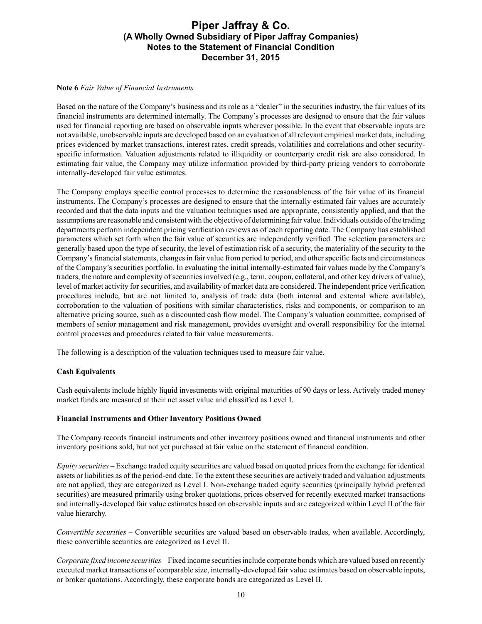### **Note 6** *Fair Value of Financial Instruments*

Based on the nature of the Company's business and its role as a "dealer" in the securities industry, the fair values of its financial instruments are determined internally. The Company's processes are designed to ensure that the fair values used for financial reporting are based on observable inputs wherever possible. In the event that observable inputs are not available, unobservable inputs are developed based on an evaluation of all relevant empirical market data, including prices evidenced by market transactions, interest rates, credit spreads, volatilities and correlations and other securityspecific information. Valuation adjustments related to illiquidity or counterparty credit risk are also considered. In estimating fair value, the Company may utilize information provided by third-party pricing vendors to corroborate internally-developed fair value estimates.

The Company employs specific control processes to determine the reasonableness of the fair value of its financial instruments. The Company's processes are designed to ensure that the internally estimated fair values are accurately recorded and that the data inputs and the valuation techniques used are appropriate, consistently applied, and that the assumptions are reasonable and consistent with the objective of determining fair value. Individuals outside of the trading departments perform independent pricing verification reviews as of each reporting date. The Company has established parameters which set forth when the fair value of securities are independently verified. The selection parameters are generally based upon the type of security, the level of estimation risk of a security, the materiality of the security to the Company's financial statements, changes in fair value from period to period, and other specific facts and circumstances of the Company's securities portfolio. In evaluating the initial internally-estimated fair values made by the Company's traders, the nature and complexity of securities involved (e.g., term, coupon, collateral, and other key drivers of value), level of market activity for securities, and availability of market data are considered. The independent price verification procedures include, but are not limited to, analysis of trade data (both internal and external where available), corroboration to the valuation of positions with similar characteristics, risks and components, or comparison to an alternative pricing source, such as a discounted cash flow model. The Company's valuation committee, comprised of members of senior management and risk management, provides oversight and overall responsibility for the internal control processes and procedures related to fair value measurements.

The following is a description of the valuation techniques used to measure fair value.

### **Cash Equivalents**

Cash equivalents include highly liquid investments with original maturities of 90 days or less. Actively traded money market funds are measured at their net asset value and classified as Level I.

### **Financial Instruments and Other Inventory Positions Owned**

The Company records financial instruments and other inventory positions owned and financial instruments and other inventory positions sold, but not yet purchased at fair value on the statement of financial condition.

*Equity securities –* Exchange traded equity securities are valued based on quoted prices from the exchange for identical assets or liabilities as of the period-end date. To the extent these securities are actively traded and valuation adjustments are not applied, they are categorized as Level I. Non-exchange traded equity securities (principally hybrid preferred securities) are measured primarily using broker quotations, prices observed for recently executed market transactions and internally-developed fair value estimates based on observable inputs and are categorized within Level II of the fair value hierarchy.

*Convertible securities –* Convertible securities are valued based on observable trades, when available. Accordingly, these convertible securities are categorized as Level II.

*Corporate fixed income securities –*Fixed income securities include corporate bonds which are valued based on recently executed market transactions of comparable size, internally-developed fair value estimates based on observable inputs, or broker quotations. Accordingly, these corporate bonds are categorized as Level II.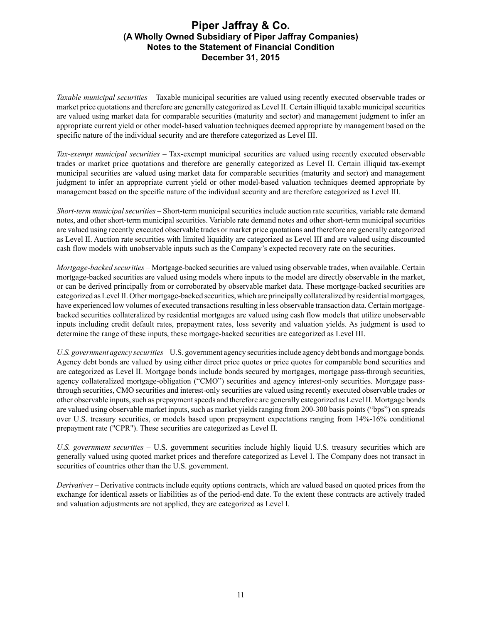*Taxable municipal securities –* Taxable municipal securities are valued using recently executed observable trades or market price quotations and therefore are generally categorized as Level II. Certain illiquid taxable municipal securities are valued using market data for comparable securities (maturity and sector) and management judgment to infer an appropriate current yield or other model-based valuation techniques deemed appropriate by management based on the specific nature of the individual security and are therefore categorized as Level III.

*Tax-exempt municipal securities –* Tax-exempt municipal securities are valued using recently executed observable trades or market price quotations and therefore are generally categorized as Level II. Certain illiquid tax-exempt municipal securities are valued using market data for comparable securities (maturity and sector) and management judgment to infer an appropriate current yield or other model-based valuation techniques deemed appropriate by management based on the specific nature of the individual security and are therefore categorized as Level III.

*Short-term municipal securities –* Short-term municipal securities include auction rate securities, variable rate demand notes, and other short-term municipal securities. Variable rate demand notes and other short-term municipal securities are valued using recently executed observable trades or market price quotations and therefore are generally categorized as Level II. Auction rate securities with limited liquidity are categorized as Level III and are valued using discounted cash flow models with unobservable inputs such as the Company's expected recovery rate on the securities.

*Mortgage-backed securities –* Mortgage-backed securities are valued using observable trades, when available. Certain mortgage-backed securities are valued using models where inputs to the model are directly observable in the market, or can be derived principally from or corroborated by observable market data. These mortgage-backed securities are categorized as Level II. Other mortgage-backed securities, which are principally collateralized by residential mortgages, have experienced low volumes of executed transactions resulting in less observable transaction data. Certain mortgagebacked securities collateralized by residential mortgages are valued using cash flow models that utilize unobservable inputs including credit default rates, prepayment rates, loss severity and valuation yields. As judgment is used to determine the range of these inputs, these mortgage-backed securities are categorized as Level III.

*U.S. government agency securities –* U.S. government agency securities include agency debt bonds and mortgage bonds. Agency debt bonds are valued by using either direct price quotes or price quotes for comparable bond securities and are categorized as Level II. Mortgage bonds include bonds secured by mortgages, mortgage pass-through securities, agency collateralized mortgage-obligation ("CMO") securities and agency interest-only securities. Mortgage passthrough securities, CMO securities and interest-only securities are valued using recently executed observable trades or other observable inputs, such as prepayment speeds and therefore are generally categorized as Level II. Mortgage bonds are valued using observable market inputs, such as market yields ranging from 200-300 basis points ("bps") on spreads over U.S. treasury securities, or models based upon prepayment expectations ranging from 14%-16% conditional prepayment rate ("CPR"). These securities are categorized as Level II.

*U.S. government securities –* U.S. government securities include highly liquid U.S. treasury securities which are generally valued using quoted market prices and therefore categorized as Level I. The Company does not transact in securities of countries other than the U.S. government.

*Derivatives –* Derivative contracts include equity options contracts, which are valued based on quoted prices from the exchange for identical assets or liabilities as of the period-end date. To the extent these contracts are actively traded and valuation adjustments are not applied, they are categorized as Level I.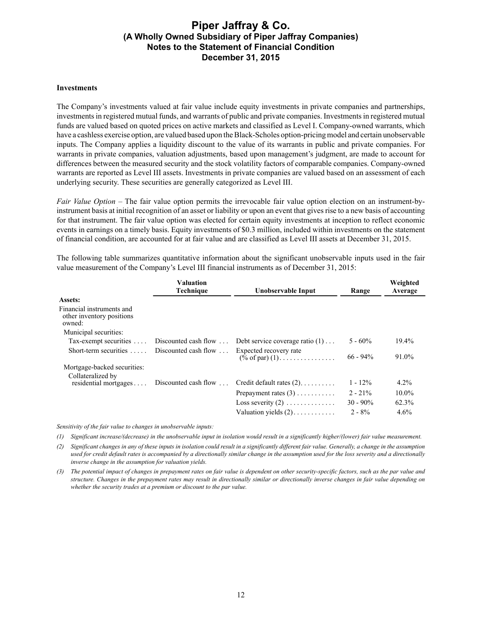#### **Investments**

The Company's investments valued at fair value include equity investments in private companies and partnerships, investments in registered mutual funds, and warrants of public and private companies. Investments in registered mutual funds are valued based on quoted prices on active markets and classified as Level I. Company-owned warrants, which have a cashless exercise option, are valued based upon the Black-Scholes option-pricing model and certain unobservable inputs. The Company applies a liquidity discount to the value of its warrants in public and private companies. For warrants in private companies, valuation adjustments, based upon management's judgment, are made to account for differences between the measured security and the stock volatility factors of comparable companies. Company-owned warrants are reported as Level III assets. Investments in private companies are valued based on an assessment of each underlying security. These securities are generally categorized as Level III.

*Fair Value Option –* The fair value option permits the irrevocable fair value option election on an instrument-byinstrument basis at initial recognition of an asset or liability or upon an event that gives rise to a new basis of accounting for that instrument. The fair value option was elected for certain equity investments at inception to reflect economic events in earnings on a timely basis. Equity investments of \$0.3 million, included within investments on the statement of financial condition, are accounted for at fair value and are classified as Level III assets at December 31, 2015.

The following table summarizes quantitative information about the significant unobservable inputs used in the fair value measurement of the Company's Level III financial instruments as of December 31, 2015:

|                                                                  | <b>Valuation</b><br>Technique | Unobservable Input                                  | Range       | Weighted<br>Average |
|------------------------------------------------------------------|-------------------------------|-----------------------------------------------------|-------------|---------------------|
| Assets:                                                          |                               |                                                     |             |                     |
| Financial instruments and<br>other inventory positions<br>owned: |                               |                                                     |             |                     |
| Municipal securities:                                            |                               |                                                     |             |                     |
| Tax-exempt securities  Discounted cash flow                      |                               | Debt service coverage ratio $(1)$                   | $5 - 60\%$  | $19.4\%$            |
| Short-term securities  Discounted cash flow                      |                               | Expected recovery rate<br>$(\% \text{ of par}) (1)$ | $66 - 94\%$ | 91.0%               |
| Mortgage-backed securities:                                      |                               |                                                     |             |                     |
| Collateralized by                                                |                               |                                                     |             |                     |
| residential mortgages                                            | Discounted cash flow $\ldots$ | Credit default rates $(2)$                          | $1 - 12\%$  | $4.2\%$             |
|                                                                  |                               | Prepayment rates $(3)$                              | $2 - 21\%$  | $10.0\%$            |
|                                                                  |                               | Loss severity $(2)$                                 | $30 - 90\%$ | 62.3%               |
|                                                                  |                               | Valuation yields $(2)$                              | $2 - 8\%$   | 4.6%                |

*Sensitivity of the fair value to changes in unobservable inputs:*

*(1) Significant increase/(decrease) in the unobservable input in isolation would result in a significantly higher/(lower) fair value measurement.*

*(2) Significant changes in any of these inputs in isolation could result in a significantly different fair value. Generally, a change in the assumption*  used for credit default rates is accompanied by a directionally similar change in the assumption used for the loss severity and a directionally *inverse change in the assumption for valuation yields.*

*(3) The potential impact of changes in prepayment rates on fair value is dependent on other security-specific factors, such as the par value and structure. Changes in the prepayment rates may result in directionally similar or directionally inverse changes in fair value depending on whether the security trades at a premium or discount to the par value.*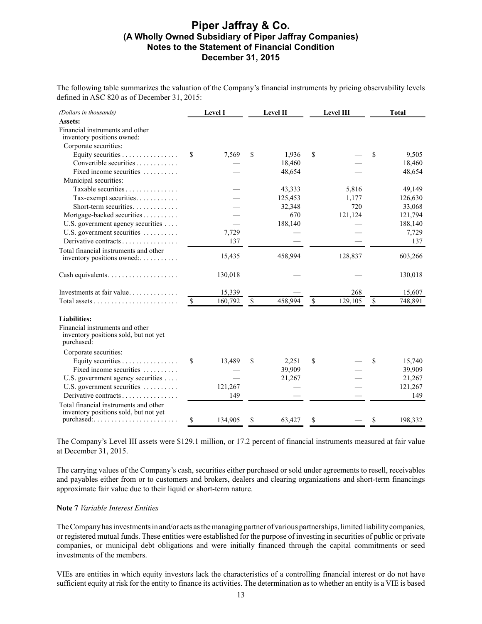The following table summarizes the valuation of the Company's financial instruments by pricing observability levels defined in ASC 820 as of December 31, 2015:

| (Dollars in thousands)                                                                 |              | Level I |    | Level II |      | Level III |              | <b>Total</b> |
|----------------------------------------------------------------------------------------|--------------|---------|----|----------|------|-----------|--------------|--------------|
| Assets:                                                                                |              |         |    |          |      |           |              |              |
| Financial instruments and other<br>inventory positions owned:                          |              |         |    |          |      |           |              |              |
| Corporate securities:                                                                  |              |         |    |          |      |           |              |              |
| Equity securities                                                                      | S            | 7,569   | \$ | 1,936    | \$   |           | \$           | 9,505        |
| Convertible securities                                                                 |              |         |    | 18,460   |      |           |              | 18,460       |
| Fixed income securities                                                                |              |         |    | 48,654   |      |           |              | 48,654       |
| Municipal securities:                                                                  |              |         |    |          |      |           |              |              |
| Taxable securities                                                                     |              |         |    | 43,333   |      | 5,816     |              | 49,149       |
| Tax-exempt securities                                                                  |              |         |    | 125,453  |      | 1,177     |              | 126,630      |
| Short-term securities                                                                  |              |         |    | 32,348   |      | 720       |              | 33,068       |
| Mortgage-backed securities                                                             |              |         |    | 670      |      | 121,124   |              | 121,794      |
| U.S. government agency securities                                                      |              |         |    | 188,140  |      |           |              | 188,140      |
| U.S. government securities                                                             |              | 7,729   |    |          |      |           |              | 7,729        |
| Derivative contracts                                                                   |              | 137     |    |          |      |           |              | 137          |
| Total financial instruments and other                                                  |              |         |    |          |      |           |              |              |
| inventory positions owned:                                                             |              | 15,435  |    | 458,994  |      | 128,837   |              | 603,266      |
|                                                                                        |              | 130,018 |    |          |      |           |              | 130,018      |
| Cash equivalents                                                                       |              |         |    |          |      |           |              |              |
| Investments at fair value                                                              |              | 15,339  |    |          |      | 268       |              | 15,607       |
|                                                                                        | <sup>S</sup> | 160,792 | \$ | 458,994  | $\$$ | 129,105   | $\mathbb{S}$ | 748,891      |
|                                                                                        |              |         |    |          |      |           |              |              |
| <b>Liabilities:</b>                                                                    |              |         |    |          |      |           |              |              |
| Financial instruments and other<br>inventory positions sold, but not yet<br>purchased: |              |         |    |          |      |           |              |              |
| Corporate securities:                                                                  |              |         |    |          |      |           |              |              |
| Equity securities                                                                      | \$           | 13,489  | \$ | 2,251    | \$   |           | \$           | 15,740       |
| Fixed income securities                                                                |              |         |    | 39,909   |      |           |              | 39,909       |
| U.S. government agency securities                                                      |              |         |    | 21,267   |      |           |              | 21,267       |
| U.S. government securities                                                             |              | 121,267 |    |          |      |           |              | 121,267      |
| Derivative contracts                                                                   |              | 149     |    |          |      |           |              | 149          |
| Total financial instruments and other                                                  |              |         |    |          |      |           |              |              |
| inventory positions sold, but not yet                                                  |              |         |    |          |      |           |              |              |
|                                                                                        | S            | 134,905 | S  | 63,427   | S    |           | \$           | 198,332      |

The Company's Level III assets were \$129.1 million, or 17.2 percent of financial instruments measured at fair value at December 31, 2015.

The carrying values of the Company's cash, securities either purchased or sold under agreements to resell, receivables and payables either from or to customers and brokers, dealers and clearing organizations and short-term financings approximate fair value due to their liquid or short-term nature.

### **Note 7** *Variable Interest Entities*

The Company has investments in and/or acts as the managing partner of various partnerships, limited liability companies, or registered mutual funds. These entities were established for the purpose of investing in securities of public or private companies, or municipal debt obligations and were initially financed through the capital commitments or seed investments of the members.

VIEs are entities in which equity investors lack the characteristics of a controlling financial interest or do not have sufficient equity at risk for the entity to finance its activities. The determination as to whether an entity is a VIE is based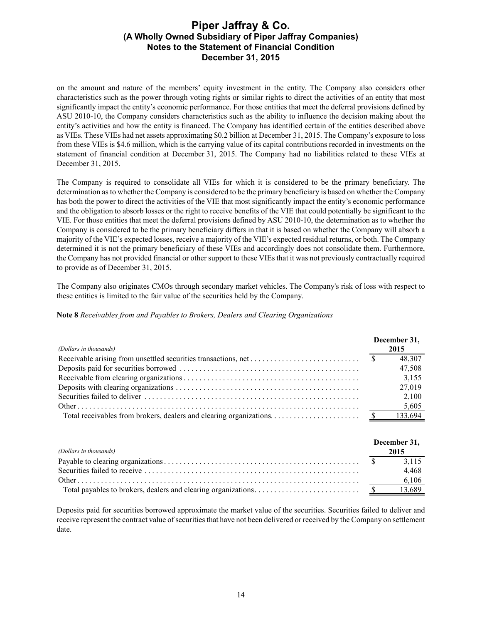on the amount and nature of the members' equity investment in the entity. The Company also considers other characteristics such as the power through voting rights or similar rights to direct the activities of an entity that most significantly impact the entity's economic performance. For those entities that meet the deferral provisions defined by ASU 2010-10, the Company considers characteristics such as the ability to influence the decision making about the entity's activities and how the entity is financed. The Company has identified certain of the entities described above as VIEs. These VIEs had net assets approximating \$0.2 billion at December 31, 2015. The Company's exposure to loss from these VIEs is \$4.6 million, which is the carrying value of its capital contributions recorded in investments on the statement of financial condition at December 31, 2015. The Company had no liabilities related to these VIEs at December 31, 2015.

The Company is required to consolidate all VIEs for which it is considered to be the primary beneficiary. The determination as to whether the Company is considered to be the primary beneficiary is based on whether the Company has both the power to direct the activities of the VIE that most significantly impact the entity's economic performance and the obligation to absorb losses or the right to receive benefits of the VIE that could potentially be significant to the VIE. For those entities that meet the deferral provisions defined by ASU 2010-10, the determination as to whether the Company is considered to be the primary beneficiary differs in that it is based on whether the Company will absorb a majority of the VIE's expected losses, receive a majority of the VIE's expected residual returns, or both. The Company determined it is not the primary beneficiary of these VIEs and accordingly does not consolidate them. Furthermore, the Company has not provided financial or other support to these VIEs that it was not previously contractually required to provide as of December 31, 2015.

The Company also originates CMOs through secondary market vehicles. The Company's risk of loss with respect to these entities is limited to the fair value of the securities held by the Company.

**Note 8** *Receivables from and Payables to Brokers, Dealers and Clearing Organizations*

|                                                                                                            | December 31, |
|------------------------------------------------------------------------------------------------------------|--------------|
| (Dollars in thousands)                                                                                     | 2015         |
| Receivable arising from unsettled securities transactions, net $\dots \dots \dots \dots \dots \dots \dots$ | 48,307       |
|                                                                                                            | 47,508       |
|                                                                                                            | 3,155        |
|                                                                                                            | 27,019       |
|                                                                                                            | 2,100        |
|                                                                                                            | 5,605        |
|                                                                                                            |              |

| (Dollars in thousands) | December 31,<br>2015 |
|------------------------|----------------------|
|                        | 3.115                |
|                        | 4.468                |
|                        | 6.106                |
|                        | 13,689               |

Deposits paid for securities borrowed approximate the market value of the securities. Securities failed to deliver and receive represent the contract value of securities that have not been delivered or received by the Company on settlement date.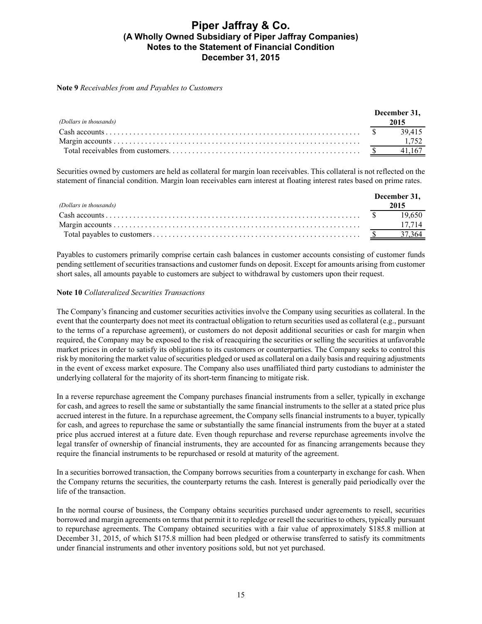#### **Note 9** *Receivables from and Payables to Customers*

| (Dollars in thousands) | December 31.<br>2015 |
|------------------------|----------------------|
|                        |                      |
|                        |                      |
|                        |                      |

Securities owned by customers are held as collateral for margin loan receivables. This collateral is not reflected on the statement of financial condition. Margin loan receivables earn interest at floating interest rates based on prime rates.

|                        | December 31, |      |
|------------------------|--------------|------|
| (Dollars in thousands) |              | 2015 |
|                        |              |      |
|                        |              |      |
|                        |              |      |

Payables to customers primarily comprise certain cash balances in customer accounts consisting of customer funds pending settlement of securities transactions and customer funds on deposit. Except for amounts arising from customer short sales, all amounts payable to customers are subject to withdrawal by customers upon their request.

### **Note 10** *Collateralized Securities Transactions*

The Company's financing and customer securities activities involve the Company using securities as collateral. In the event that the counterparty does not meet its contractual obligation to return securities used as collateral (e.g., pursuant to the terms of a repurchase agreement), or customers do not deposit additional securities or cash for margin when required, the Company may be exposed to the risk of reacquiring the securities or selling the securities at unfavorable market prices in order to satisfy its obligations to its customers or counterparties. The Company seeks to control this risk by monitoring the market value of securities pledged or used as collateral on a daily basis and requiring adjustments in the event of excess market exposure. The Company also uses unaffiliated third party custodians to administer the underlying collateral for the majority of its short-term financing to mitigate risk.

In a reverse repurchase agreement the Company purchases financial instruments from a seller, typically in exchange for cash, and agrees to resell the same or substantially the same financial instruments to the seller at a stated price plus accrued interest in the future. In a repurchase agreement, the Company sells financial instruments to a buyer, typically for cash, and agrees to repurchase the same or substantially the same financial instruments from the buyer at a stated price plus accrued interest at a future date. Even though repurchase and reverse repurchase agreements involve the legal transfer of ownership of financial instruments, they are accounted for as financing arrangements because they require the financial instruments to be repurchased or resold at maturity of the agreement.

In a securities borrowed transaction, the Company borrows securities from a counterparty in exchange for cash. When the Company returns the securities, the counterparty returns the cash. Interest is generally paid periodically over the life of the transaction.

In the normal course of business, the Company obtains securities purchased under agreements to resell, securities borrowed and margin agreements on terms that permit it to repledge or resell the securities to others, typically pursuant to repurchase agreements. The Company obtained securities with a fair value of approximately \$185.8 million at December 31, 2015, of which \$175.8 million had been pledged or otherwise transferred to satisfy its commitments under financial instruments and other inventory positions sold, but not yet purchased.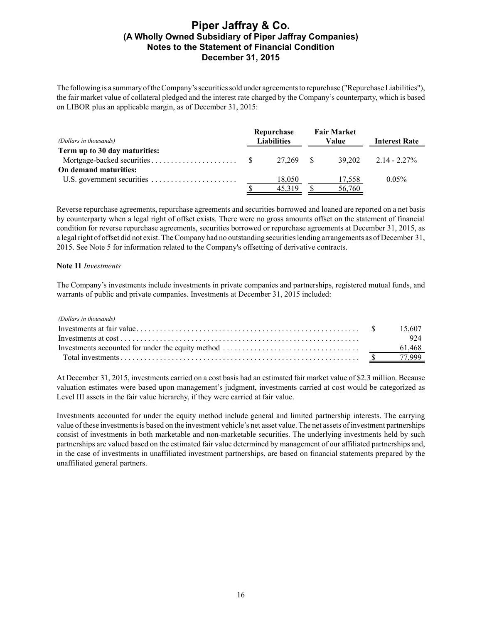The following is a summary of the Company's securities sold under agreements to repurchase ("Repurchase Liabilities"), the fair market value of collateral pledged and the interest rate charged by the Company's counterparty, which is based on LIBOR plus an applicable margin, as of December 31, 2015:

| (Dollars in thousands)        |  | Repurchase<br><b>Liabilities</b> | <b>Fair Market</b><br>Value | <b>Interest Rate</b>     |
|-------------------------------|--|----------------------------------|-----------------------------|--------------------------|
| Term up to 30 day maturities: |  |                                  |                             |                          |
|                               |  | 27.269 \$                        |                             | $39.202$ $2.14 - 2.27\%$ |
| On demand maturities:         |  |                                  |                             |                          |
|                               |  | 18.050                           | 17,558                      | $0.05\%$                 |
|                               |  | 45.319                           | 56,760                      |                          |

Reverse repurchase agreements, repurchase agreements and securities borrowed and loaned are reported on a net basis by counterparty when a legal right of offset exists. There were no gross amounts offset on the statement of financial condition for reverse repurchase agreements, securities borrowed or repurchase agreements at December 31, 2015, as a legal right of offset did not exist. The Company had no outstanding securities lending arrangements as of December 31, 2015. See Note 5 for information related to the Company's offsetting of derivative contracts.

#### **Note 11** *Investments*

The Company's investments include investments in private companies and partnerships, registered mutual funds, and warrants of public and private companies. Investments at December 31, 2015 included:

*(Dollars in thousands)*

|  | 924    |
|--|--------|
|  | 61.468 |
|  |        |

At December 31, 2015, investments carried on a cost basis had an estimated fair market value of \$2.3 million. Because valuation estimates were based upon management's judgment, investments carried at cost would be categorized as Level III assets in the fair value hierarchy, if they were carried at fair value.

Investments accounted for under the equity method include general and limited partnership interests. The carrying value of these investments is based on the investment vehicle's net asset value. The net assets of investment partnerships consist of investments in both marketable and non-marketable securities. The underlying investments held by such partnerships are valued based on the estimated fair value determined by management of our affiliated partnerships and, in the case of investments in unaffiliated investment partnerships, are based on financial statements prepared by the unaffiliated general partners.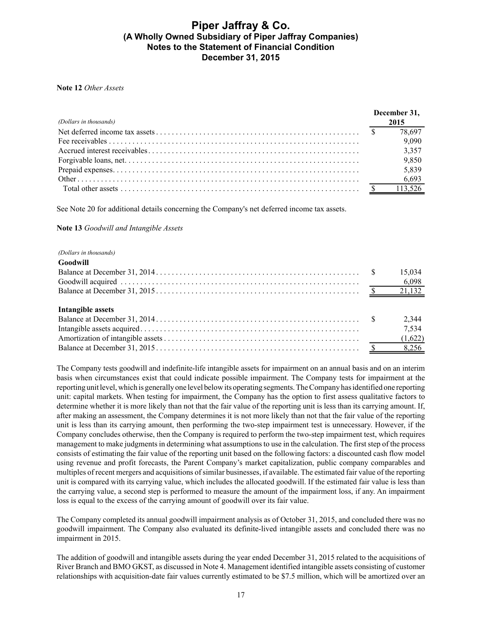#### **Note 12** *Other Assets*

| (Dollars in thousands) | December 31,<br>2015 |        |
|------------------------|----------------------|--------|
|                        |                      | 78,697 |
|                        |                      | 9,090  |
|                        |                      | 3,357  |
|                        |                      | 9,850  |
|                        |                      | 5,839  |
|                        |                      |        |
|                        |                      |        |

See Note 20 for additional details concerning the Company's net deferred income tax assets.

#### **Note 13** *Goodwill and Intangible Assets*

#### *(Dollars in thousands)*

| Goodwill          |       |
|-------------------|-------|
|                   |       |
|                   |       |
|                   |       |
| Intangible assets |       |
|                   | 2,344 |
|                   | 7,534 |
|                   |       |
|                   |       |

The Company tests goodwill and indefinite-life intangible assets for impairment on an annual basis and on an interim basis when circumstances exist that could indicate possible impairment. The Company tests for impairment at the reporting unit level, which is generally one level below its operating segments. The Company has identified one reporting unit: capital markets. When testing for impairment, the Company has the option to first assess qualitative factors to determine whether it is more likely than not that the fair value of the reporting unit is less than its carrying amount. If, after making an assessment, the Company determines it is not more likely than not that the fair value of the reporting unit is less than its carrying amount, then performing the two-step impairment test is unnecessary. However, if the Company concludes otherwise, then the Company is required to perform the two-step impairment test, which requires management to make judgments in determining what assumptions to use in the calculation. The first step of the process consists of estimating the fair value of the reporting unit based on the following factors: a discounted cash flow model using revenue and profit forecasts, the Parent Company's market capitalization, public company comparables and multiples of recent mergers and acquisitions of similar businesses, if available. The estimated fair value of the reporting unit is compared with its carrying value, which includes the allocated goodwill. If the estimated fair value is less than the carrying value, a second step is performed to measure the amount of the impairment loss, if any. An impairment loss is equal to the excess of the carrying amount of goodwill over its fair value.

The Company completed its annual goodwill impairment analysis as of October 31, 2015, and concluded there was no goodwill impairment. The Company also evaluated its definite-lived intangible assets and concluded there was no impairment in 2015.

The addition of goodwill and intangible assets during the year ended December 31, 2015 related to the acquisitions of River Branch and BMO GKST, as discussed in Note 4. Management identified intangible assets consisting of customer relationships with acquisition-date fair values currently estimated to be \$7.5 million, which will be amortized over an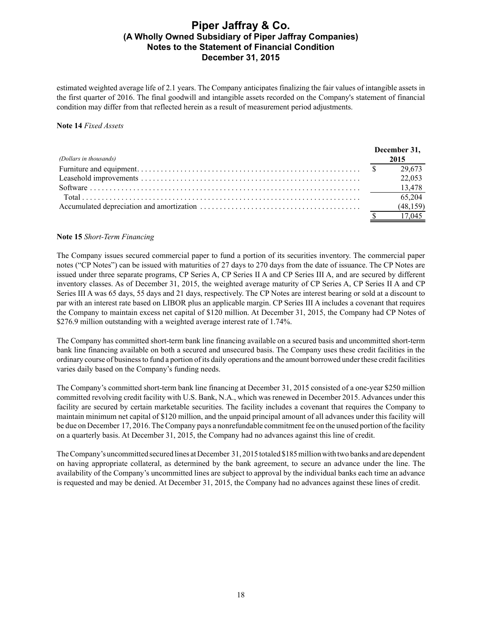estimated weighted average life of 2.1 years. The Company anticipates finalizing the fair values of intangible assets in the first quarter of 2016. The final goodwill and intangible assets recorded on the Company's statement of financial condition may differ from that reflected herein as a result of measurement period adjustments.

### **Note 14** *Fixed Assets*

|                        | December 31, |           |
|------------------------|--------------|-----------|
| (Dollars in thousands) |              | 2015      |
|                        |              | 29,673    |
|                        |              | 22,053    |
|                        |              |           |
|                        |              | 65,204    |
|                        |              | (48, 159) |
|                        |              | 17 045    |

### **Note 15** *Short-Term Financing*

The Company issues secured commercial paper to fund a portion of its securities inventory. The commercial paper notes ("CP Notes") can be issued with maturities of 27 days to 270 days from the date of issuance. The CP Notes are issued under three separate programs, CP Series A, CP Series II A and CP Series III A, and are secured by different inventory classes. As of December 31, 2015, the weighted average maturity of CP Series A, CP Series II A and CP Series III A was 65 days, 55 days and 21 days, respectively. The CP Notes are interest bearing or sold at a discount to par with an interest rate based on LIBOR plus an applicable margin. CP Series III A includes a covenant that requires the Company to maintain excess net capital of \$120 million. At December 31, 2015, the Company had CP Notes of \$276.9 million outstanding with a weighted average interest rate of 1.74%.

The Company has committed short-term bank line financing available on a secured basis and uncommitted short-term bank line financing available on both a secured and unsecured basis. The Company uses these credit facilities in the ordinary course of business to fund a portion of its daily operations and the amount borrowed under these credit facilities varies daily based on the Company's funding needs.

The Company's committed short-term bank line financing at December 31, 2015 consisted of a one-year \$250 million committed revolving credit facility with U.S. Bank, N.A., which was renewed in December 2015. Advances under this facility are secured by certain marketable securities. The facility includes a covenant that requires the Company to maintain minimum net capital of \$120 million, and the unpaid principal amount of all advances under this facility will be due on December 17, 2016. The Company pays a nonrefundable commitment fee on the unused portion of the facility on a quarterly basis. At December 31, 2015, the Company had no advances against this line of credit.

The Company's uncommitted secured lines at December 31, 2015 totaled \$185 millionwith two banks and are dependent on having appropriate collateral, as determined by the bank agreement, to secure an advance under the line. The availability of the Company's uncommitted lines are subject to approval by the individual banks each time an advance is requested and may be denied. At December 31, 2015, the Company had no advances against these lines of credit.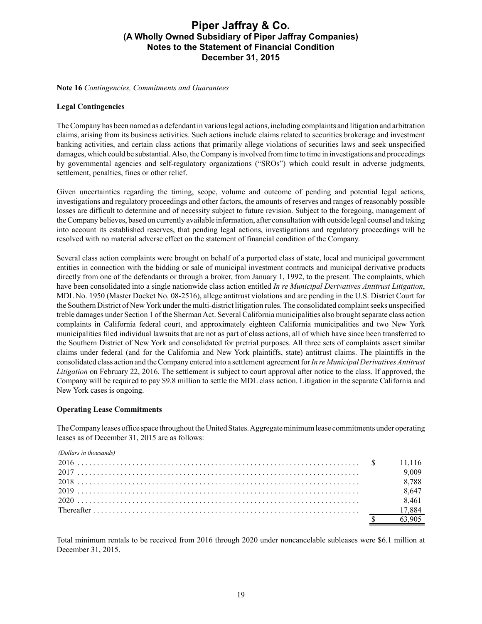**Note 16** *Contingencies, Commitments and Guarantees*

#### **Legal Contingencies**

The Company has been named as a defendant in various legal actions, including complaints and litigation and arbitration claims, arising from its business activities. Such actions include claims related to securities brokerage and investment banking activities, and certain class actions that primarily allege violations of securities laws and seek unspecified damages, which could be substantial. Also, the Company is involved from time to time in investigations and proceedings by governmental agencies and self-regulatory organizations ("SROs") which could result in adverse judgments, settlement, penalties, fines or other relief.

Given uncertainties regarding the timing, scope, volume and outcome of pending and potential legal actions, investigations and regulatory proceedings and other factors, the amounts of reserves and ranges of reasonably possible losses are difficult to determine and of necessity subject to future revision. Subject to the foregoing, management of the Company believes, based on currently available information, after consultation with outside legal counsel and taking into account its established reserves, that pending legal actions, investigations and regulatory proceedings will be resolved with no material adverse effect on the statement of financial condition of the Company.

Several class action complaints were brought on behalf of a purported class of state, local and municipal government entities in connection with the bidding or sale of municipal investment contracts and municipal derivative products directly from one of the defendants or through a broker, from January 1, 1992, to the present. The complaints, which have been consolidated into a single nationwide class action entitled *In re Municipal Derivatives Antitrust Litigation*, MDL No. 1950 (Master Docket No. 08-2516), allege antitrust violations and are pending in the U.S. District Court for the Southern District of New York under the multi-district litigation rules. The consolidated complaint seeks unspecified treble damages under Section 1 of the Sherman Act. Several California municipalities also brought separate class action complaints in California federal court, and approximately eighteen California municipalities and two New York municipalities filed individual lawsuits that are not as part of class actions, all of which have since been transferred to the Southern District of New York and consolidated for pretrial purposes. All three sets of complaints assert similar claims under federal (and for the California and New York plaintiffs, state) antitrust claims. The plaintiffs in the consolidated class action and the Company entered into a settlement agreement for *In re Municipal Derivatives Antitrust Litigation* on February 22, 2016. The settlement is subject to court approval after notice to the class. If approved, the Company will be required to pay \$9.8 million to settle the MDL class action. Litigation in the separate California and New York cases is ongoing.

#### **Operating Lease Commitments**

The Company leases office space throughout the United States. Aggregate minimum lease commitments under operating leases as of December 31, 2015 are as follows:

| (Dollars in thousands) |        |
|------------------------|--------|
|                        | 11 116 |
|                        | 9.009  |
|                        | 8.788  |
|                        | 8.647  |
|                        | 8.461  |
|                        | 17,884 |
|                        |        |

Total minimum rentals to be received from 2016 through 2020 under noncancelable subleases were \$6.1 million at December 31, 2015.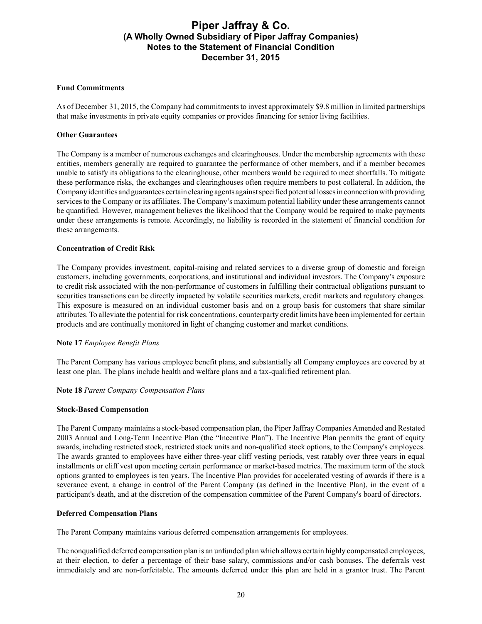### **Fund Commitments**

As of December 31, 2015, the Company had commitments to invest approximately \$9.8 million in limited partnerships that make investments in private equity companies or provides financing for senior living facilities.

### **Other Guarantees**

The Company is a member of numerous exchanges and clearinghouses. Under the membership agreements with these entities, members generally are required to guarantee the performance of other members, and if a member becomes unable to satisfy its obligations to the clearinghouse, other members would be required to meet shortfalls. To mitigate these performance risks, the exchanges and clearinghouses often require members to post collateral. In addition, the Company identifies and guarantees certain clearing agents against specified potential losses in connection with providing services to the Company or its affiliates. The Company's maximum potential liability under these arrangements cannot be quantified. However, management believes the likelihood that the Company would be required to make payments under these arrangements is remote. Accordingly, no liability is recorded in the statement of financial condition for these arrangements.

### **Concentration of Credit Risk**

The Company provides investment, capital-raising and related services to a diverse group of domestic and foreign customers, including governments, corporations, and institutional and individual investors. The Company's exposure to credit risk associated with the non-performance of customers in fulfilling their contractual obligations pursuant to securities transactions can be directly impacted by volatile securities markets, credit markets and regulatory changes. This exposure is measured on an individual customer basis and on a group basis for customers that share similar attributes. To alleviate the potential for risk concentrations, counterparty credit limits have been implemented for certain products and are continually monitored in light of changing customer and market conditions.

#### **Note 17** *Employee Benefit Plans*

The Parent Company has various employee benefit plans, and substantially all Company employees are covered by at least one plan. The plans include health and welfare plans and a tax-qualified retirement plan.

#### **Note 18** *Parent Company Compensation Plans*

#### **Stock-Based Compensation**

The Parent Company maintains a stock-based compensation plan, the Piper Jaffray Companies Amended and Restated 2003 Annual and Long-Term Incentive Plan (the "Incentive Plan"). The Incentive Plan permits the grant of equity awards, including restricted stock, restricted stock units and non-qualified stock options, to the Company's employees. The awards granted to employees have either three-year cliff vesting periods, vest ratably over three years in equal installments or cliff vest upon meeting certain performance or market-based metrics. The maximum term of the stock options granted to employees is ten years. The Incentive Plan provides for accelerated vesting of awards if there is a severance event, a change in control of the Parent Company (as defined in the Incentive Plan), in the event of a participant's death, and at the discretion of the compensation committee of the Parent Company's board of directors.

#### **Deferred Compensation Plans**

The Parent Company maintains various deferred compensation arrangements for employees.

The nonqualified deferred compensation plan is an unfunded plan which allows certain highly compensated employees, at their election, to defer a percentage of their base salary, commissions and/or cash bonuses. The deferrals vest immediately and are non-forfeitable. The amounts deferred under this plan are held in a grantor trust. The Parent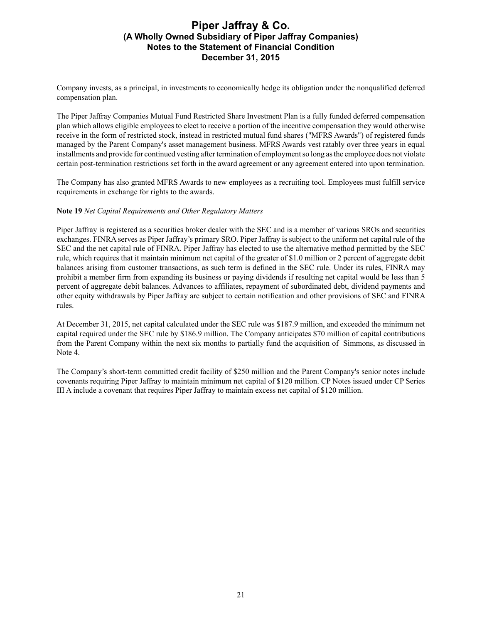Company invests, as a principal, in investments to economically hedge its obligation under the nonqualified deferred compensation plan.

The Piper Jaffray Companies Mutual Fund Restricted Share Investment Plan is a fully funded deferred compensation plan which allows eligible employees to elect to receive a portion of the incentive compensation they would otherwise receive in the form of restricted stock, instead in restricted mutual fund shares ("MFRS Awards") of registered funds managed by the Parent Company's asset management business. MFRS Awards vest ratably over three years in equal installments and provide for continued vesting after termination of employment so long as the employee does not violate certain post-termination restrictions set forth in the award agreement or any agreement entered into upon termination.

The Company has also granted MFRS Awards to new employees as a recruiting tool. Employees must fulfill service requirements in exchange for rights to the awards.

### **Note 19** *Net Capital Requirements and Other Regulatory Matters*

Piper Jaffray is registered as a securities broker dealer with the SEC and is a member of various SROs and securities exchanges. FINRA serves as Piper Jaffray's primary SRO. Piper Jaffray is subject to the uniform net capital rule of the SEC and the net capital rule of FINRA. Piper Jaffray has elected to use the alternative method permitted by the SEC rule, which requires that it maintain minimum net capital of the greater of \$1.0 million or 2 percent of aggregate debit balances arising from customer transactions, as such term is defined in the SEC rule. Under its rules, FINRA may prohibit a member firm from expanding its business or paying dividends if resulting net capital would be less than 5 percent of aggregate debit balances. Advances to affiliates, repayment of subordinated debt, dividend payments and other equity withdrawals by Piper Jaffray are subject to certain notification and other provisions of SEC and FINRA rules.

At December 31, 2015, net capital calculated under the SEC rule was \$187.9 million, and exceeded the minimum net capital required under the SEC rule by \$186.9 million. The Company anticipates \$70 million of capital contributions from the Parent Company within the next six months to partially fund the acquisition of Simmons, as discussed in Note 4.

The Company's short-term committed credit facility of \$250 million and the Parent Company's senior notes include covenants requiring Piper Jaffray to maintain minimum net capital of \$120 million. CP Notes issued under CP Series III A include a covenant that requires Piper Jaffray to maintain excess net capital of \$120 million.